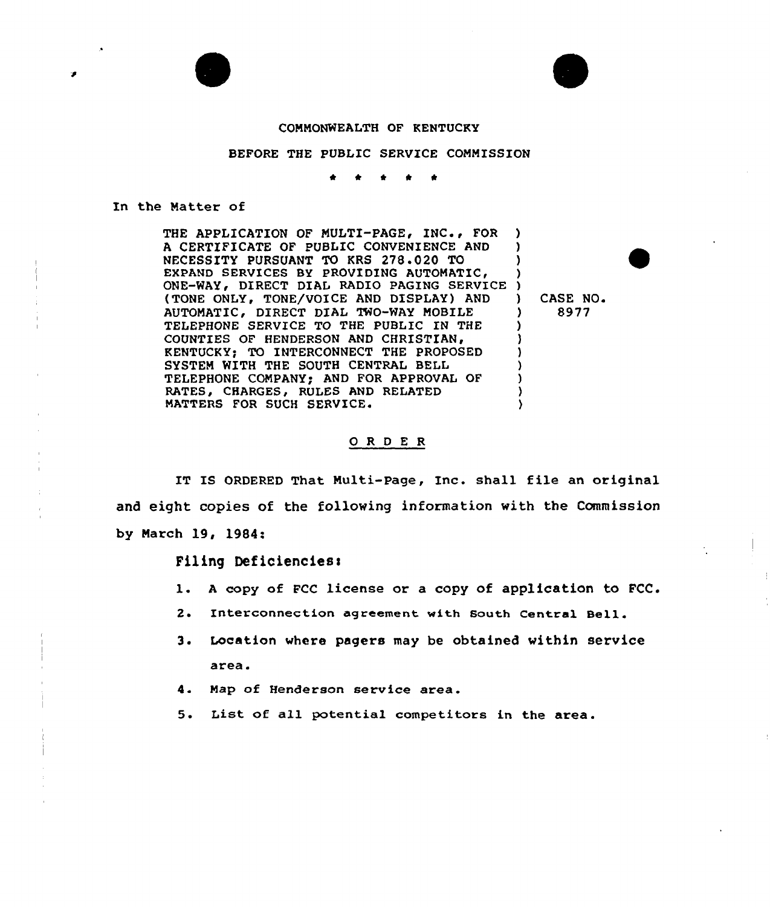

## COMMONWEALTH OF KENTUCKY

# BEFORE THE PUBLIC SERVICE COMMISSION

a

### In the Matter of

THE APPLICATION OF MULTI-PAGE, INC., FOR A CERTIFICATE OF PUBLIC CONVENIENCE AND NECESSITY PURSUANT TO KRS 278.020 TO EXPAND SERVICES BY PROVIDING DIRECT DIAL RADIO PAGING SERVICE ) (TONE ONLY, TONE/VOICE AND DISPLAY) AND AUTOMATIC, DIRECT DIAL TWO-WAY MOBILE TELEPHONE SERVICE TO THE PUBLIC IN THE COUNTIES OF HENDERSON AND CHRISTIAN, KENTUCKY; TO INTERCONNECT THE PROPOSED SYSTEM WITH THE SOUTH CENTRAL BELL TELEPHONE COMPANY; AND FOR APPROVAL OF RATES, CHARGES, RULES AND RELATED MATTERS FOR SUCH SERVICE» ) ) ) ) ) ) ) ) ) )<br>)

) CASE NO. ) 8977

### 0 <sup>R</sup> <sup>D</sup> E <sup>R</sup>

IT IS ORDERED That Multi-Page, Inc. shall file an original and eight copies of the following information with the Commission by March 19, 1984:

#### Filing Deficienciesl

- l. <sup>A</sup> copy of FCC license or <sup>a</sup> copy of application to FCC.
- 2. Interconnection agreement with South Central Bell.
- 3. Location where pagers may be obtained within service area.
- 4. Map of Henderson service area.
- 5. List of all potential competitors in the area.